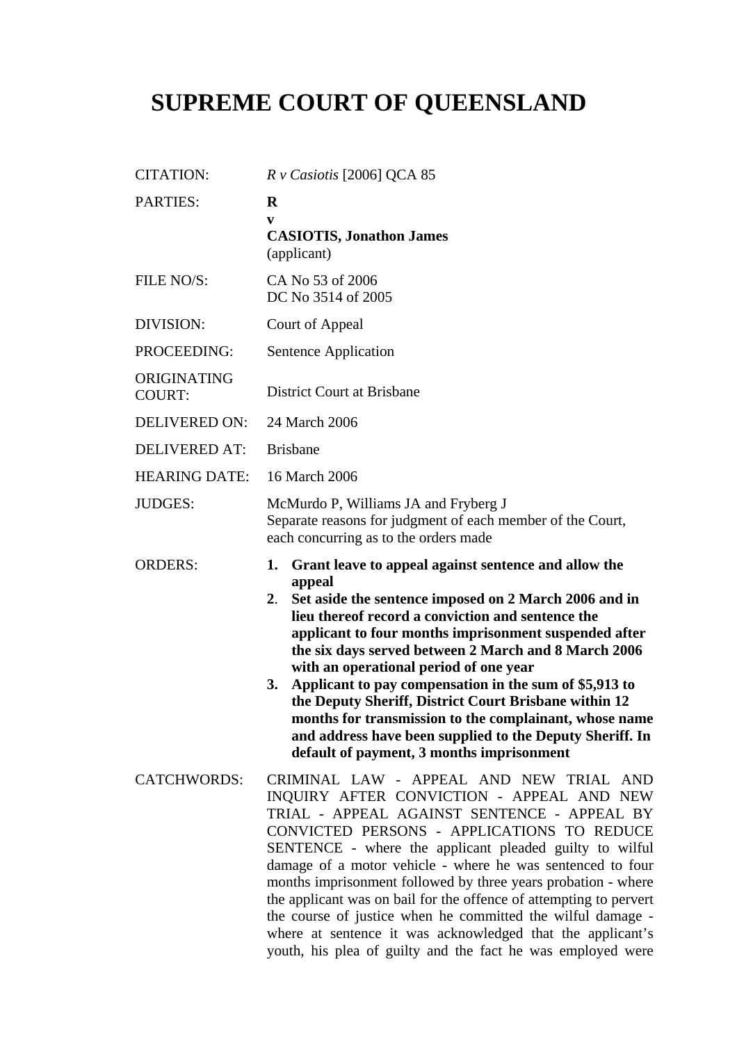## **SUPREME COURT OF QUEENSLAND**

| <b>CITATION:</b>             | $R$ v Casiotis [2006] QCA 85                                                                                                                                                                                                                                                                                                                                                                                                                                                                                                                                                                                                                                |
|------------------------------|-------------------------------------------------------------------------------------------------------------------------------------------------------------------------------------------------------------------------------------------------------------------------------------------------------------------------------------------------------------------------------------------------------------------------------------------------------------------------------------------------------------------------------------------------------------------------------------------------------------------------------------------------------------|
| PARTIES:                     | $\bf{R}$<br>V<br><b>CASIOTIS, Jonathon James</b><br>(applicant)                                                                                                                                                                                                                                                                                                                                                                                                                                                                                                                                                                                             |
| FILE NO/S:                   | CA No 53 of 2006<br>DC No 3514 of 2005                                                                                                                                                                                                                                                                                                                                                                                                                                                                                                                                                                                                                      |
| DIVISION:                    | Court of Appeal                                                                                                                                                                                                                                                                                                                                                                                                                                                                                                                                                                                                                                             |
| PROCEEDING:                  | Sentence Application                                                                                                                                                                                                                                                                                                                                                                                                                                                                                                                                                                                                                                        |
| ORIGINATING<br><b>COURT:</b> | <b>District Court at Brisbane</b>                                                                                                                                                                                                                                                                                                                                                                                                                                                                                                                                                                                                                           |
| DELIVERED ON:                | 24 March 2006                                                                                                                                                                                                                                                                                                                                                                                                                                                                                                                                                                                                                                               |
| <b>DELIVERED AT:</b>         | <b>Brisbane</b>                                                                                                                                                                                                                                                                                                                                                                                                                                                                                                                                                                                                                                             |
| <b>HEARING DATE:</b>         | 16 March 2006                                                                                                                                                                                                                                                                                                                                                                                                                                                                                                                                                                                                                                               |
| <b>JUDGES:</b>               | McMurdo P, Williams JA and Fryberg J<br>Separate reasons for judgment of each member of the Court,<br>each concurring as to the orders made                                                                                                                                                                                                                                                                                                                                                                                                                                                                                                                 |
| <b>ORDERS:</b>               | Grant leave to appeal against sentence and allow the<br>1.<br>appeal<br>Set aside the sentence imposed on 2 March 2006 and in<br>2 <sub>1</sub><br>lieu thereof record a conviction and sentence the<br>applicant to four months imprisonment suspended after<br>the six days served between 2 March and 8 March 2006<br>with an operational period of one year<br>Applicant to pay compensation in the sum of \$5,913 to<br>3.<br>the Deputy Sheriff, District Court Brisbane within 12<br>months for transmission to the complainant, whose name<br>and address have been supplied to the Deputy Sheriff. In<br>default of payment, 3 months imprisonment |
| <b>CATCHWORDS:</b>           | CRIMINAL LAW - APPEAL AND NEW TRIAL AND<br>INQUIRY AFTER CONVICTION - APPEAL AND NEW<br>TRIAL - APPEAL AGAINST SENTENCE - APPEAL BY<br>CONVICTED PERSONS - APPLICATIONS TO REDUCE<br>SENTENCE - where the applicant pleaded guilty to wilful<br>damage of a motor vehicle - where he was sentenced to four<br>months imprisonment followed by three years probation - where<br>the applicant was on bail for the offence of attempting to pervert<br>the course of justice when he committed the wilful damage -<br>where at sentence it was acknowledged that the applicant's<br>youth, his plea of guilty and the fact he was employed were               |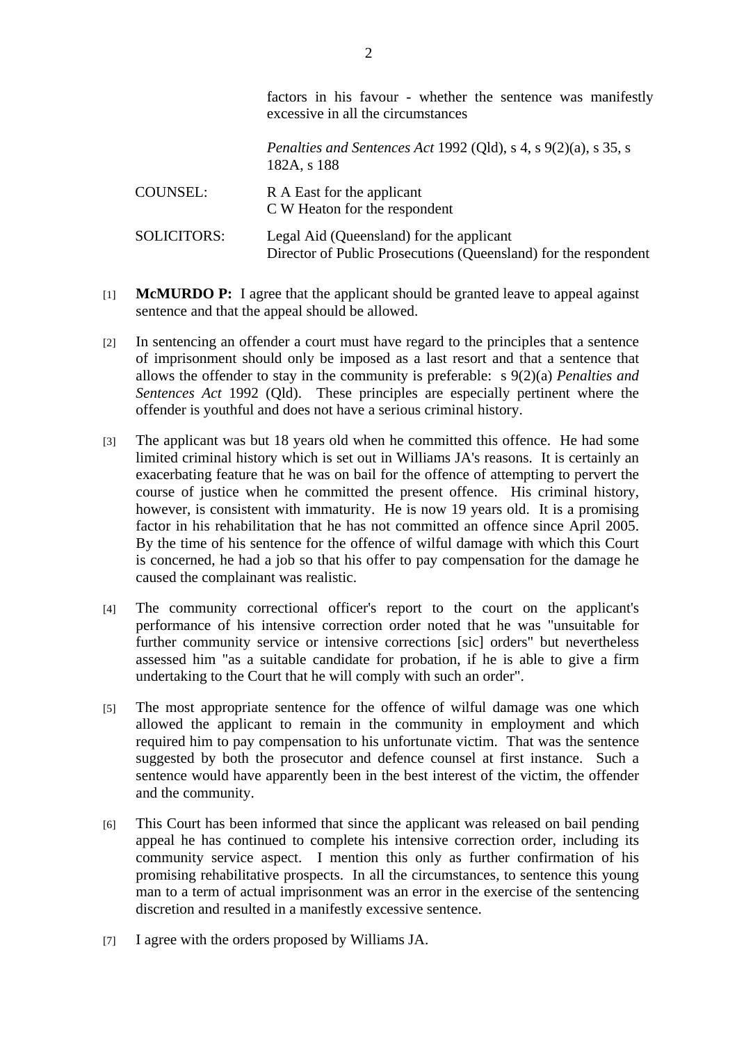|                    | factors in his favour - whether the sentence was manifestly<br>excessive in all the circumstances           |
|--------------------|-------------------------------------------------------------------------------------------------------------|
|                    | <i>Penalties and Sentences Act 1992 (Qld), s 4, s 9(2)(a), s 35, s</i><br>182A, s 188                       |
| COUNSEL:           | R A East for the applicant<br>C W Heaton for the respondent                                                 |
| <b>SOLICITORS:</b> | Legal Aid (Queensland) for the applicant<br>Director of Public Prosecutions (Queensland) for the respondent |

- [1] **McMURDO P:** I agree that the applicant should be granted leave to appeal against sentence and that the appeal should be allowed.
- [2] In sentencing an offender a court must have regard to the principles that a sentence of imprisonment should only be imposed as a last resort and that a sentence that allows the offender to stay in the community is preferable: s 9(2)(a) *Penalties and Sentences Act* 1992 (Qld). These principles are especially pertinent where the offender is youthful and does not have a serious criminal history.
- [3] The applicant was but 18 years old when he committed this offence. He had some limited criminal history which is set out in Williams JA's reasons. It is certainly an exacerbating feature that he was on bail for the offence of attempting to pervert the course of justice when he committed the present offence. His criminal history, however, is consistent with immaturity. He is now 19 years old. It is a promising factor in his rehabilitation that he has not committed an offence since April 2005. By the time of his sentence for the offence of wilful damage with which this Court is concerned, he had a job so that his offer to pay compensation for the damage he caused the complainant was realistic.
- [4] The community correctional officer's report to the court on the applicant's performance of his intensive correction order noted that he was "unsuitable for further community service or intensive corrections [sic] orders" but nevertheless assessed him "as a suitable candidate for probation, if he is able to give a firm undertaking to the Court that he will comply with such an order".
- [5] The most appropriate sentence for the offence of wilful damage was one which allowed the applicant to remain in the community in employment and which required him to pay compensation to his unfortunate victim. That was the sentence suggested by both the prosecutor and defence counsel at first instance. Such a sentence would have apparently been in the best interest of the victim, the offender and the community.
- [6] This Court has been informed that since the applicant was released on bail pending appeal he has continued to complete his intensive correction order, including its community service aspect. I mention this only as further confirmation of his promising rehabilitative prospects. In all the circumstances, to sentence this young man to a term of actual imprisonment was an error in the exercise of the sentencing discretion and resulted in a manifestly excessive sentence.
- [7] I agree with the orders proposed by Williams JA.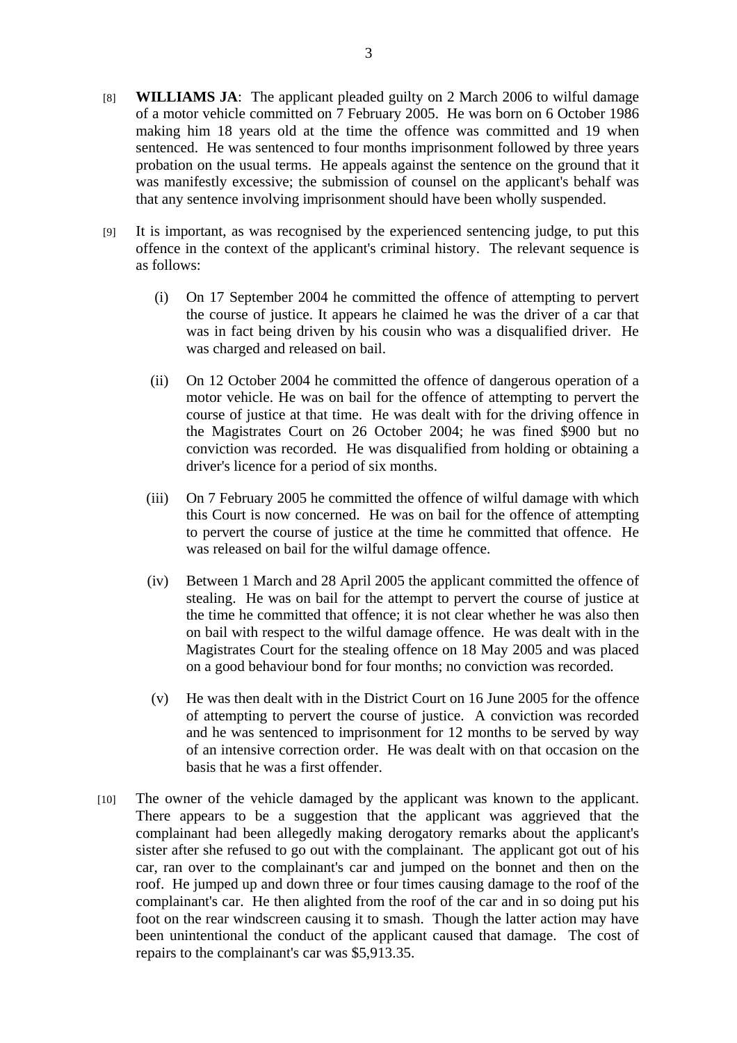- [8] **WILLIAMS JA**: The applicant pleaded guilty on 2 March 2006 to wilful damage of a motor vehicle committed on 7 February 2005. He was born on 6 October 1986 making him 18 years old at the time the offence was committed and 19 when sentenced. He was sentenced to four months imprisonment followed by three years probation on the usual terms. He appeals against the sentence on the ground that it was manifestly excessive; the submission of counsel on the applicant's behalf was that any sentence involving imprisonment should have been wholly suspended.
- [9] It is important, as was recognised by the experienced sentencing judge, to put this offence in the context of the applicant's criminal history. The relevant sequence is as follows:
	- (i) On 17 September 2004 he committed the offence of attempting to pervert the course of justice. It appears he claimed he was the driver of a car that was in fact being driven by his cousin who was a disqualified driver. He was charged and released on bail.
	- (ii) On 12 October 2004 he committed the offence of dangerous operation of a motor vehicle. He was on bail for the offence of attempting to pervert the course of justice at that time. He was dealt with for the driving offence in the Magistrates Court on 26 October 2004; he was fined \$900 but no conviction was recorded. He was disqualified from holding or obtaining a driver's licence for a period of six months.
	- (iii) On 7 February 2005 he committed the offence of wilful damage with which this Court is now concerned. He was on bail for the offence of attempting to pervert the course of justice at the time he committed that offence. He was released on bail for the wilful damage offence.
	- (iv) Between 1 March and 28 April 2005 the applicant committed the offence of stealing. He was on bail for the attempt to pervert the course of justice at the time he committed that offence; it is not clear whether he was also then on bail with respect to the wilful damage offence. He was dealt with in the Magistrates Court for the stealing offence on 18 May 2005 and was placed on a good behaviour bond for four months; no conviction was recorded.
	- (v) He was then dealt with in the District Court on 16 June 2005 for the offence of attempting to pervert the course of justice. A conviction was recorded and he was sentenced to imprisonment for 12 months to be served by way of an intensive correction order. He was dealt with on that occasion on the basis that he was a first offender.
- [10] The owner of the vehicle damaged by the applicant was known to the applicant. There appears to be a suggestion that the applicant was aggrieved that the complainant had been allegedly making derogatory remarks about the applicant's sister after she refused to go out with the complainant. The applicant got out of his car, ran over to the complainant's car and jumped on the bonnet and then on the roof. He jumped up and down three or four times causing damage to the roof of the complainant's car. He then alighted from the roof of the car and in so doing put his foot on the rear windscreen causing it to smash. Though the latter action may have been unintentional the conduct of the applicant caused that damage. The cost of repairs to the complainant's car was \$5,913.35.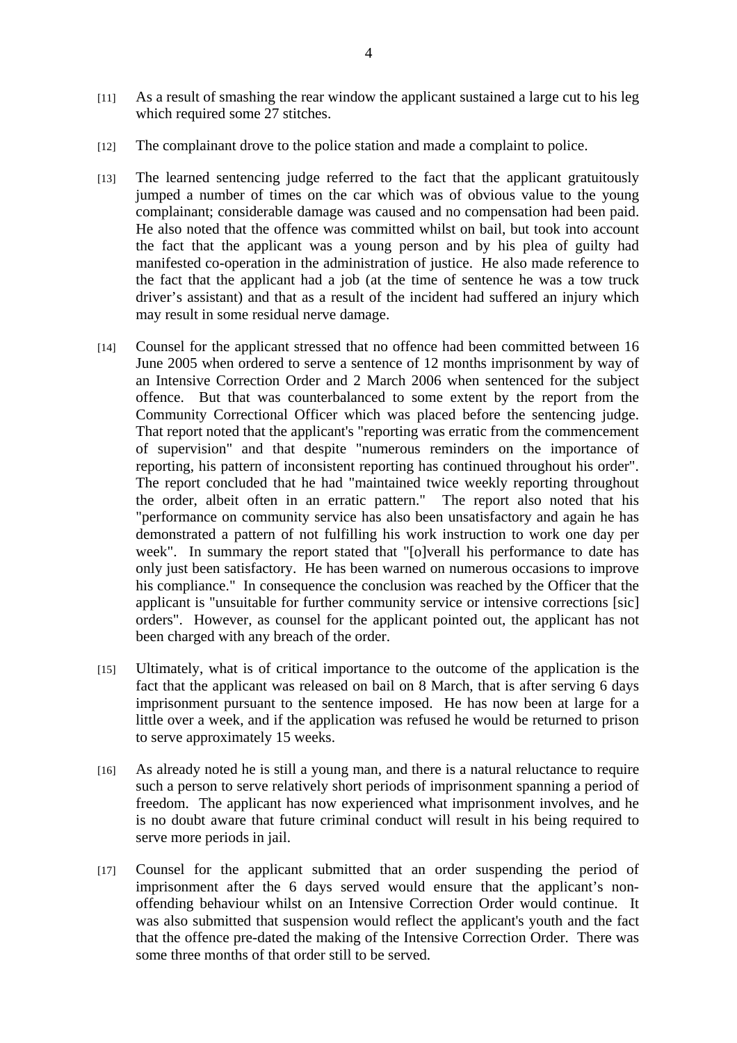- [11] As a result of smashing the rear window the applicant sustained a large cut to his leg which required some 27 stitches.
- [12] The complainant drove to the police station and made a complaint to police.
- [13] The learned sentencing judge referred to the fact that the applicant gratuitously jumped a number of times on the car which was of obvious value to the young complainant; considerable damage was caused and no compensation had been paid. He also noted that the offence was committed whilst on bail, but took into account the fact that the applicant was a young person and by his plea of guilty had manifested co-operation in the administration of justice. He also made reference to the fact that the applicant had a job (at the time of sentence he was a tow truck driver's assistant) and that as a result of the incident had suffered an injury which may result in some residual nerve damage.
- [14] Counsel for the applicant stressed that no offence had been committed between 16 June 2005 when ordered to serve a sentence of 12 months imprisonment by way of an Intensive Correction Order and 2 March 2006 when sentenced for the subject offence. But that was counterbalanced to some extent by the report from the Community Correctional Officer which was placed before the sentencing judge. That report noted that the applicant's "reporting was erratic from the commencement of supervision" and that despite "numerous reminders on the importance of reporting, his pattern of inconsistent reporting has continued throughout his order". The report concluded that he had "maintained twice weekly reporting throughout the order, albeit often in an erratic pattern." The report also noted that his "performance on community service has also been unsatisfactory and again he has demonstrated a pattern of not fulfilling his work instruction to work one day per week". In summary the report stated that "[o]verall his performance to date has only just been satisfactory. He has been warned on numerous occasions to improve his compliance." In consequence the conclusion was reached by the Officer that the applicant is "unsuitable for further community service or intensive corrections [sic] orders". However, as counsel for the applicant pointed out, the applicant has not been charged with any breach of the order.
- [15] Ultimately, what is of critical importance to the outcome of the application is the fact that the applicant was released on bail on 8 March, that is after serving 6 days imprisonment pursuant to the sentence imposed. He has now been at large for a little over a week, and if the application was refused he would be returned to prison to serve approximately 15 weeks.
- [16] As already noted he is still a young man, and there is a natural reluctance to require such a person to serve relatively short periods of imprisonment spanning a period of freedom. The applicant has now experienced what imprisonment involves, and he is no doubt aware that future criminal conduct will result in his being required to serve more periods in jail.
- [17] Counsel for the applicant submitted that an order suspending the period of imprisonment after the 6 days served would ensure that the applicant's nonoffending behaviour whilst on an Intensive Correction Order would continue. It was also submitted that suspension would reflect the applicant's youth and the fact that the offence pre-dated the making of the Intensive Correction Order. There was some three months of that order still to be served.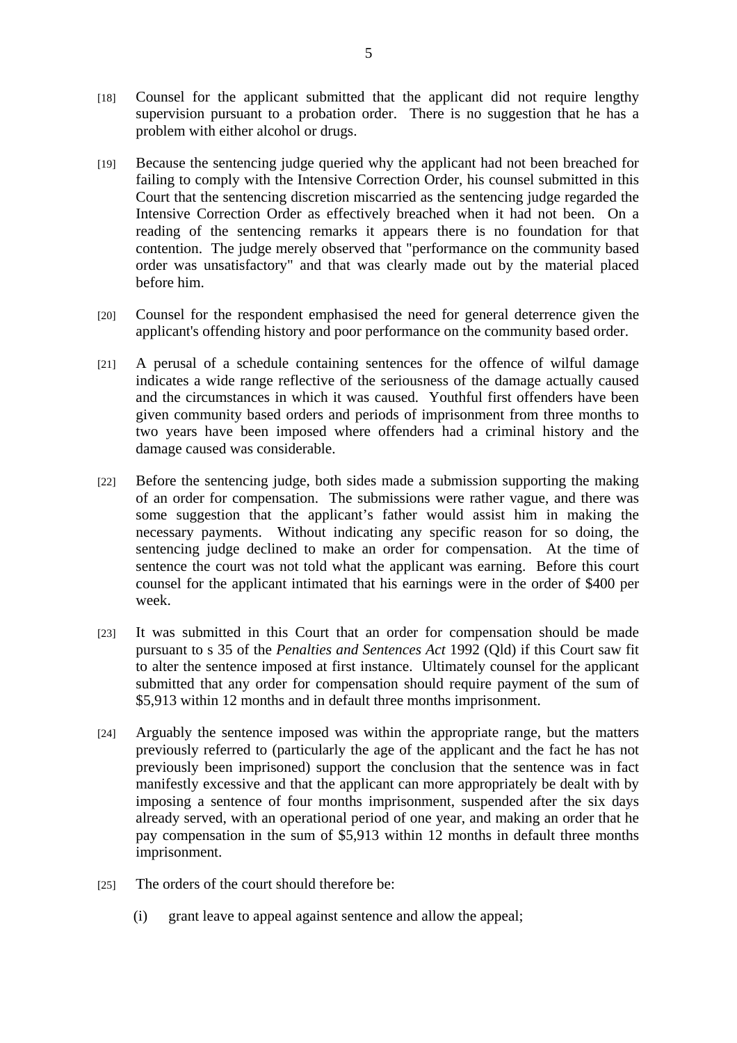- [18] Counsel for the applicant submitted that the applicant did not require lengthy supervision pursuant to a probation order. There is no suggestion that he has a problem with either alcohol or drugs.
- [19] Because the sentencing judge queried why the applicant had not been breached for failing to comply with the Intensive Correction Order, his counsel submitted in this Court that the sentencing discretion miscarried as the sentencing judge regarded the Intensive Correction Order as effectively breached when it had not been. On a reading of the sentencing remarks it appears there is no foundation for that contention. The judge merely observed that "performance on the community based order was unsatisfactory" and that was clearly made out by the material placed before him.
- [20] Counsel for the respondent emphasised the need for general deterrence given the applicant's offending history and poor performance on the community based order.
- [21] A perusal of a schedule containing sentences for the offence of wilful damage indicates a wide range reflective of the seriousness of the damage actually caused and the circumstances in which it was caused. Youthful first offenders have been given community based orders and periods of imprisonment from three months to two years have been imposed where offenders had a criminal history and the damage caused was considerable.
- [22] Before the sentencing judge, both sides made a submission supporting the making of an order for compensation. The submissions were rather vague, and there was some suggestion that the applicant's father would assist him in making the necessary payments. Without indicating any specific reason for so doing, the sentencing judge declined to make an order for compensation. At the time of sentence the court was not told what the applicant was earning. Before this court counsel for the applicant intimated that his earnings were in the order of \$400 per week.
- [23] It was submitted in this Court that an order for compensation should be made pursuant to s 35 of the *Penalties and Sentences Act* 1992 (Qld) if this Court saw fit to alter the sentence imposed at first instance. Ultimately counsel for the applicant submitted that any order for compensation should require payment of the sum of \$5,913 within 12 months and in default three months imprisonment.
- [24] Arguably the sentence imposed was within the appropriate range, but the matters previously referred to (particularly the age of the applicant and the fact he has not previously been imprisoned) support the conclusion that the sentence was in fact manifestly excessive and that the applicant can more appropriately be dealt with by imposing a sentence of four months imprisonment, suspended after the six days already served, with an operational period of one year, and making an order that he pay compensation in the sum of \$5,913 within 12 months in default three months imprisonment.
- [25] The orders of the court should therefore be:
	- (i) grant leave to appeal against sentence and allow the appeal;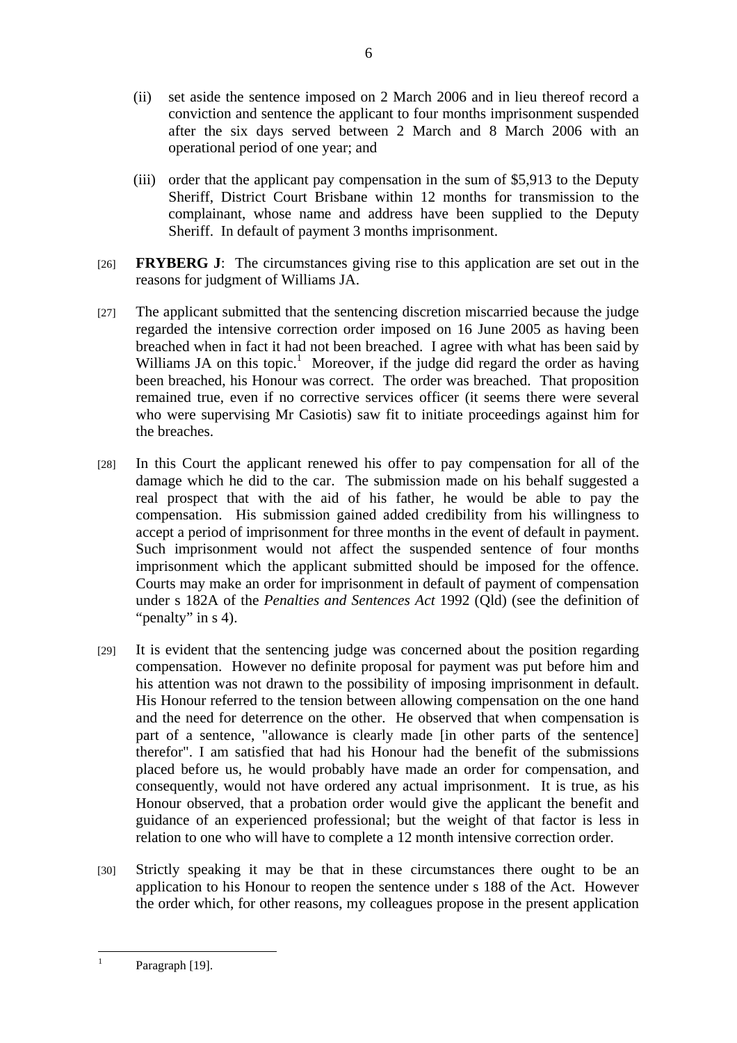- (ii) set aside the sentence imposed on 2 March 2006 and in lieu thereof record a conviction and sentence the applicant to four months imprisonment suspended after the six days served between 2 March and 8 March 2006 with an operational period of one year; and
- (iii) order that the applicant pay compensation in the sum of \$5,913 to the Deputy Sheriff, District Court Brisbane within 12 months for transmission to the complainant, whose name and address have been supplied to the Deputy Sheriff. In default of payment 3 months imprisonment.
- [26] **FRYBERG J**: The circumstances giving rise to this application are set out in the reasons for judgment of Williams JA.
- [27] The applicant submitted that the sentencing discretion miscarried because the judge regarded the intensive correction order imposed on 16 June 2005 as having been breached when in fact it had not been breached. I agree with what has been said by Williams JA on this topic.<sup>1</sup> Moreover, if the judge did regard the order as having been breached, his Honour was correct. The order was breached. That proposition remained true, even if no corrective services officer (it seems there were several who were supervising Mr Casiotis) saw fit to initiate proceedings against him for the breaches.
- [28] In this Court the applicant renewed his offer to pay compensation for all of the damage which he did to the car. The submission made on his behalf suggested a real prospect that with the aid of his father, he would be able to pay the compensation. His submission gained added credibility from his willingness to accept a period of imprisonment for three months in the event of default in payment. Such imprisonment would not affect the suspended sentence of four months imprisonment which the applicant submitted should be imposed for the offence. Courts may make an order for imprisonment in default of payment of compensation under s 182A of the *Penalties and Sentences Act* 1992 (Qld) (see the definition of "penalty" in s 4).
- [29] It is evident that the sentencing judge was concerned about the position regarding compensation. However no definite proposal for payment was put before him and his attention was not drawn to the possibility of imposing imprisonment in default. His Honour referred to the tension between allowing compensation on the one hand and the need for deterrence on the other. He observed that when compensation is part of a sentence, "allowance is clearly made [in other parts of the sentence] therefor". I am satisfied that had his Honour had the benefit of the submissions placed before us, he would probably have made an order for compensation, and consequently, would not have ordered any actual imprisonment. It is true, as his Honour observed, that a probation order would give the applicant the benefit and guidance of an experienced professional; but the weight of that factor is less in relation to one who will have to complete a 12 month intensive correction order.
- [30] Strictly speaking it may be that in these circumstances there ought to be an application to his Honour to reopen the sentence under s 188 of the Act. However the order which, for other reasons, my colleagues propose in the present application

 $\frac{1}{1}$ Paragraph [19].